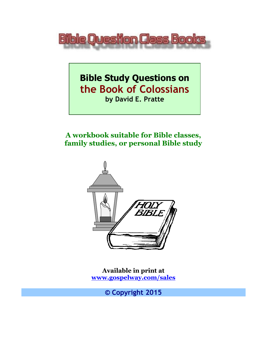

**Bible Study Questions on the Book of Colossians by David E. Pratte**

**A workbook suitable for Bible classes, family studies, or personal Bible study**



**Available in print at [www.gospelway.com/sales](https://www.gospelway.com/sales)**

**© Copyright 2015**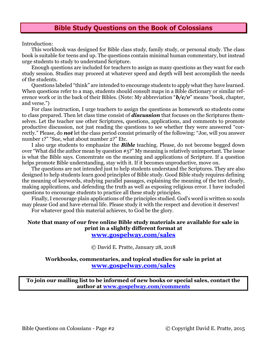## **Bible Study Questions on the Book of Colossians**

Introduction:

This workbook was designed for Bible class study, family study, or personal study. The class book is suitable for teens and up. The questions contain minimal human commentary, but instead urge students to study to understand Scripture.

Enough questions are included for teachers to assign as many questions as they want for each study session. Studies may proceed at whatever speed and depth will best accomplish the needs of the students.

Questions labeled "think" are intended to encourage students to apply what they have learned. When questions refer to a map, students should consult maps in a Bible dictionary or similar reference work or in the back of their Bibles. (Note: My abbreviation "*b/c/v*" means "book, chapter, and verse.")

For class instruction, I urge teachers to assign the questions as homework so students come to class prepared. Then let class time consist of *discussion* that focuses on the Scriptures themselves. Let the teacher use other Scriptures, questions, applications, and comments to promote productive discussion, not just reading the questions to see whether they were answered "correctly." Please, do *not* let the class period consist primarily of the following: "Joe, will you answer number 1?" "Sue, what about number 2?" Etc.

I also urge students to emphasize the *Bible* teaching. Please, do not become bogged down over "What did the author mean by question #5?" My meaning is relatively unimportant. The issue is what the Bible says. Concentrate on the meaning and applications of Scripture. If a question helps promote Bible understanding, stay with it. If it becomes unproductive, move on.

The questions are not intended just to help students understand the Scriptures. They are also designed to help students learn good principles of Bible study. Good Bible study requires defining the meaning of keywords, studying parallel passages, explaining the meaning of the text clearly, making applications, and defending the truth as well as exposing religious error. I have included questions to encourage students to practice all these study principles.

Finally, I encourage plain applications of the principles studied. God's word is written so souls may please God and have eternal life. Please study it with the respect and devotion it deserves!

For whatever good this material achieves, to God be the glory.

#### **Note that many of our free online Bible study materials are available for sale in print in a slightly different format at [www.gospelway.com/sales](https://www.gospelway.com/sales)**

© David E. Pratte, January 28, 2018

### **Workbooks, commentaries, and topical studies for sale in print at [www.gospelway.com/sales](https://www.gospelway.com/sales)**

**To join our mailing list to be informed of new books or special sales, contact the author at [www.gospelway.com/comments](http://www.gospelway.com/comments)**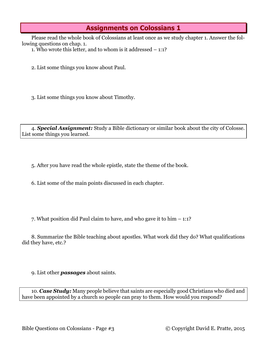# **Assignments on Colossians 1**

Please read the whole book of Colossians at least once as we study chapter 1. Answer the following questions on chap. 1.

1. Who wrote this letter, and to whom is it addressed – 1:1?

2. List some things you know about Paul.

3. List some things you know about Timothy.

4. *Special Assignment:* Study a Bible dictionary or similar book about the city of Colosse. List some things you learned.

5. After you have read the whole epistle, state the theme of the book.

6. List some of the main points discussed in each chapter.

7. What position did Paul claim to have, and who gave it to him – 1:1?

8. Summarize the Bible teaching about apostles. What work did they do? What qualifications did they have, etc.?

9. List other *passages* about saints.

10. *Case Study:* Many people believe that saints are especially good Christians who died and have been appointed by a church so people can pray to them. How would you respond?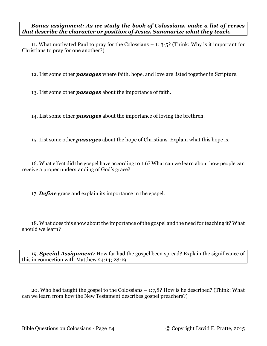*Bonus assignment: As we study the book of Colossians, make a list of verses that describe the character or position of Jesus. Summarize what they teach.*

11. What motivated Paul to pray for the Colossians – 1: 3-5? (Think: Why is it important for Christians to pray for one another?)

12. List some other *passages* where faith, hope, and love are listed together in Scripture.

13. List some other *passages* about the importance of faith.

14. List some other *passages* about the importance of loving the brethren.

15. List some other *passages* about the hope of Christians. Explain what this hope is.

16. What effect did the gospel have according to 1:6? What can we learn about how people can receive a proper understanding of God's grace?

17. *Define* grace and explain its importance in the gospel.

18. What does this show about the importance of the gospel and the need for teaching it? What should we learn?

19. *Special Assignment:* How far had the gospel been spread? Explain the significance of this in connection with Matthew 24:14; 28:19.

20. Who had taught the gospel to the Colossians – 1:7,8? How is he described? (Think: What can we learn from how the New Testament describes gospel preachers?)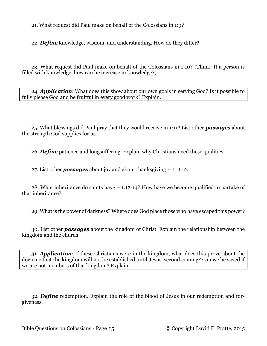21. What request did Paul make on behalf of the Colossians in 1:9?

22. *Define* knowledge, wisdom, and understanding. How do they differ?

23. What request did Paul make on behalf of the Colossians in 1:10? (Think: If a person is filled with knowledge, how can he increase in knowledge?)

24. *Application*: What does this show about our own goals in serving God? Is it possible to fully please God and be fruitful in every good work? Explain.

25. What blessings did Paul pray that they would receive in 1:11? List other *passages* about the strength God supplies for us.

26. *Define* patience and longsuffering. Explain why Christians need these qualities.

27. List other *passages* about joy and about thanksgiving – 1:11,12.

28. What inheritance do saints have – 1:12-14? How have we become qualified to partake of that inheritance?

29. What is the power of darkness? Where does God place those who have escaped this power?

30. List other *passages* about the kingdom of Christ. Explain the relationship between the kingdom and the church.

31. *Application*: If these Christians were in the kingdom, what does this prove about the doctrine that the kingdom will not be established until Jesus' second coming? Can we be saved if we are not members of that kingdom? Explain.

32. *Define* redemption. Explain the role of the blood of Jesus in our redemption and forgiveness.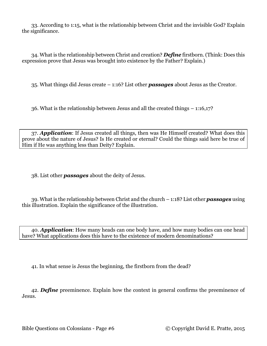33. According to 1:15, what is the relationship between Christ and the invisible God? Explain the significance.

34. What is the relationship between Christ and creation? *Define* firstborn. (Think: Does this expression prove that Jesus was brought into existence by the Father? Explain.)

35. What things did Jesus create – 1:16? List other *passages* about Jesus as the Creator.

36. What is the relationship between Jesus and all the created things – 1:16,17?

37. *Application*: If Jesus created all things, then was He Himself created? What does this prove about the nature of Jesus? Is He created or eternal? Could the things said here be true of Him if He was anything less than Deity? Explain.

38. List other *passages* about the deity of Jesus.

39. What is the relationship between Christ and the church – 1:18? List other *passages* using this illustration. Explain the significance of the illustration.

40. *Application*: How many heads can one body have, and how many bodies can one head have? What applications does this have to the existence of modern denominations?

41. In what sense is Jesus the beginning, the firstborn from the dead?

42. *Define* preeminence. Explain how the context in general confirms the preeminence of Jesus.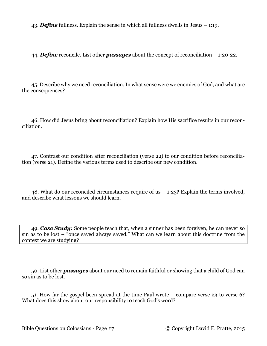43. *Define* fullness. Explain the sense in which all fullness dwells in Jesus – 1:19.

44. *Define* reconcile. List other *passages* about the concept of reconciliation – 1:20-22.

45. Describe why we need reconciliation. In what sense were we enemies of God, and what are the consequences?

46. How did Jesus bring about reconciliation? Explain how His sacrifice results in our reconciliation.

47. Contrast our condition after reconciliation (verse 22) to our condition before reconciliation (verse 21). Define the various terms used to describe our new condition.

48. What do our reconciled circumstances require of us – 1:23? Explain the terms involved, and describe what lessons we should learn.

49. *Case Study:* Some people teach that, when a sinner has been forgiven, he can never so sin as to be lost – "once saved always saved." What can we learn about this doctrine from the context we are studying?

50. List other *passages* about our need to remain faithful or showing that a child of God can so sin as to be lost.

51. How far the gospel been spread at the time Paul wrote – compare verse 23 to verse 6? What does this show about our responsibility to teach God's word?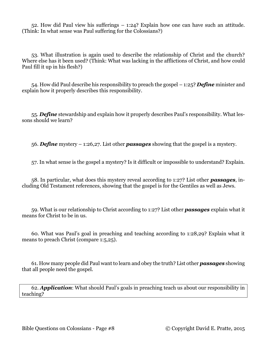52. How did Paul view his sufferings – 1:24? Explain how one can have such an attitude. (Think: In what sense was Paul suffering for the Colossians?)

53. What illustration is again used to describe the relationship of Christ and the church? Where else has it been used? (Think: What was lacking in the afflictions of Christ, and how could Paul fill it up in his flesh?)

54. How did Paul describe his responsibility to preach the gospel – 1:25? *Define* minister and explain how it properly describes this responsibility.

55. *Define* stewardship and explain how it properly describes Paul's responsibility. What lessons should we learn?

56. *Define* mystery – 1:26,27. List other *passages* showing that the gospel is a mystery.

57. In what sense is the gospel a mystery? Is it difficult or impossible to understand? Explain.

58. In particular, what does this mystery reveal according to 1:27? List other *passages*, including Old Testament references, showing that the gospel is for the Gentiles as well as Jews.

59. What is our relationship to Christ according to 1:27? List other *passages* explain what it means for Christ to be in us.

60. What was Paul's goal in preaching and teaching according to 1:28,29? Explain what it means to preach Christ (compare 1:5,25).

61. How many people did Paul want to learn and obey the truth? List other *passages* showing that all people need the gospel.

62. *Application*: What should Paul's goals in preaching teach us about our responsibility in teaching?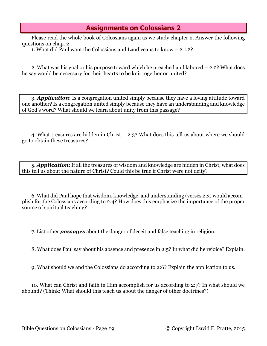# **Assignments on Colossians 2**

Please read the whole book of Colossians again as we study chapter 2. Answer the following questions on chap. 2.

1. What did Paul want the Colossians and Laodiceans to know – 2:1,2?

2. What was his goal or his purpose toward which he preached and labored – 2:2? What does he say would be necessary for their hearts to be knit together or united?

3. *Application*: Is a congregation united simply because they have a loving attitude toward one another? Is a congregation united simply because they have an understanding and knowledge of God's word? What should we learn about unity from this passage?

4. What treasures are hidden in Christ – 2:3? What does this tell us about where we should go to obtain these treasures?

5. *Application*: If all the treasures of wisdom and knowledge are hidden in Christ, what does this tell us about the nature of Christ? Could this be true if Christ were not deity?

6. What did Paul hope that wisdom, knowledge, and understanding (verses 2,3) would accomplish for the Colossians according to 2:4? How does this emphasize the importance of the proper source of spiritual teaching?

7. List other *passages* about the danger of deceit and false teaching in religion.

8. What does Paul say about his absence and presence in 2:5? In what did he rejoice? Explain.

9. What should we and the Colossians do according to 2:6? Explain the application to us.

10. What can Christ and faith in Him accomplish for us according to 2:7? In what should we abound? (Think: What should this teach us about the danger of other doctrines?)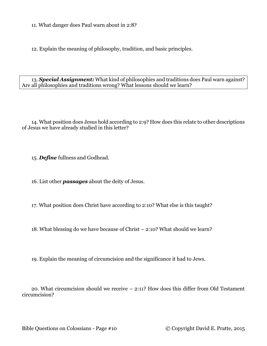11. What danger does Paul warn about in 2:8?

12. Explain the meaning of philosophy, tradition, and basic principles.

13. *Special Assignment:* What kind of philosophies and traditions does Paul warn against? Are all philosophies and traditions wrong? What lessons should we learn?

14. What position does Jesus hold according to 2:9? How does this relate to other descriptions of Jesus we have already studied in this letter?

15. *Define* fullness and Godhead.

16. List other *passages* about the deity of Jesus.

17. What position does Christ have according to 2:10? What else is this taught?

18. What blessing do we have because of Christ – 2:10? What should we learn?

19. Explain the meaning of circumcision and the significance it had to Jews.

20. What circumcision should we receive – 2:11? How does this differ from Old Testament circumcision?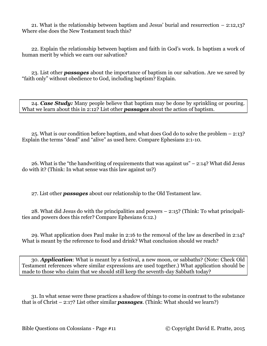21. What is the relationship between baptism and Jesus' burial and resurrection – 2:12,13? Where else does the New Testament teach this?

22. Explain the relationship between baptism and faith in God's work. Is baptism a work of human merit by which we earn our salvation?

23. List other *passages* about the importance of baptism in our salvation. Are we saved by "faith only" without obedience to God, including baptism? Explain.

24. *Case Study:* Many people believe that baptism may be done by sprinkling or pouring. What we learn about this in 2:12? List other *passages* about the action of baptism.

25. What is our condition before baptism, and what does God do to solve the problem – 2:13? Explain the terms "dead" and "alive" as used here. Compare Ephesians 2:1-10.

26. What is the "the handwriting of requirements that was against  $us - 2:14$ ? What did Jesus do with it? (Think: In what sense was this law against us?)

27. List other *passages* about our relationship to the Old Testament law.

28. What did Jesus do with the principalities and powers – 2:15? (Think: To what principalities and powers does this refer? Compare Ephesians 6:12.)

29. What application does Paul make in 2:16 to the removal of the law as described in 2:14? What is meant by the reference to food and drink? What conclusion should we reach?

30. *Application*: What is meant by a festival, a new moon, or sabbaths? (Note: Check Old Testament references where similar expressions are used together.) What application should be made to those who claim that we should still keep the seventh-day Sabbath today?

31. In what sense were these practices a shadow of things to come in contrast to the substance that is of Christ – 2:17? List other similar *passages*. (Think: What should we learn?)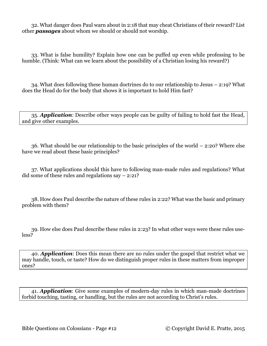32. What danger does Paul warn about in 2:18 that may cheat Christians of their reward? List other *passages* about whom we should or should not worship.

33. What is false humility? Explain how one can be puffed up even while professing to be humble. (Think: What can we learn about the possibility of a Christian losing his reward?)

34. What does following these human doctrines do to our relationship to Jesus – 2:19? What does the Head do for the body that shows it is important to hold Him fast?

35. *Application*: Describe other ways people can be guilty of failing to hold fast the Head, and give other examples.

36. What should be our relationship to the basic principles of the world – 2:20? Where else have we read about these basic principles?

37. What applications should this have to following man-made rules and regulations? What did some of these rules and regulations say – 2:21?

38. How does Paul describe the nature of these rules in 2:22? What was the basic and primary problem with them?

39. How else does Paul describe these rules in 2:23? In what other ways were these rules useless?

40. *Application*: Does this mean there are no rules under the gospel that restrict what we may handle, touch, or taste? How do we distinguish proper rules in these matters from improper ones?

41. *Application*: Give some examples of modern-day rules in which man-made doctrines forbid touching, tasting, or handling, but the rules are not according to Christ's rules.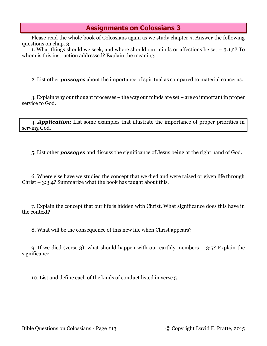# **Assignments on Colossians 3**

Please read the whole book of Colossians again as we study chapter 3. Answer the following questions on chap. 3.

1. What things should we seek, and where should our minds or affections be set – 3:1,2? To whom is this instruction addressed? Explain the meaning.

2. List other *passages* about the importance of spiritual as compared to material concerns.

3. Explain why our thought processes – the way our minds are set – are so important in proper service to God.

4. *Application*: List some examples that illustrate the importance of proper priorities in serving God.

5. List other *passages* and discuss the significance of Jesus being at the right hand of God.

6. Where else have we studied the concept that we died and were raised or given life through Christ – 3:3,4? Summarize what the book has taught about this.

7. Explain the concept that our life is hidden with Christ. What significance does this have in the context?

8. What will be the consequence of this new life when Christ appears?

9. If we died (verse 3), what should happen with our earthly members – 3:5? Explain the significance.

10. List and define each of the kinds of conduct listed in verse 5.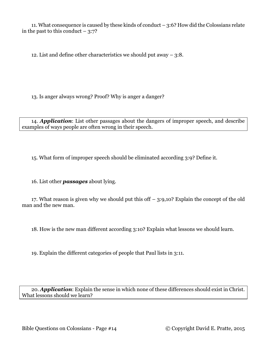11. What consequence is caused by these kinds of conduct – 3:6? How did the Colossians relate in the past to this conduct  $-3:7$ ?

12. List and define other characteristics we should put away – 3:8.

13. Is anger always wrong? Proof? Why is anger a danger?

14. *Application*: List other passages about the dangers of improper speech, and describe examples of ways people are often wrong in their speech.

15. What form of improper speech should be eliminated according 3:9? Define it.

16. List other *passages* about lying.

17. What reason is given why we should put this off – 3:9,10? Explain the concept of the old man and the new man.

18. How is the new man different according 3:10? Explain what lessons we should learn.

19. Explain the different categories of people that Paul lists in 3:11.

20. *Application*: Explain the sense in which none of these differences should exist in Christ. What lessons should we learn?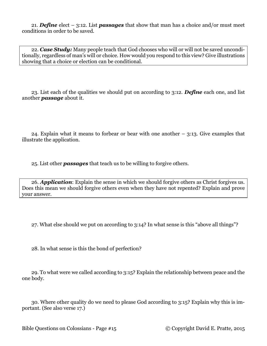21. *Define* elect – 3:12. List *passages* that show that man has a choice and/or must meet conditions in order to be saved.

22. *Case Study:* Many people teach that God chooses who will or will not be saved unconditionally, regardless of man's will or choice. How would you respond to this view? Give illustrations showing that a choice or election can be conditional.

23. List each of the qualities we should put on according to 3:12. *Define* each one, and list another *passage* about it.

24. Explain what it means to forbear or bear with one another  $-$  3:13. Give examples that illustrate the application.

25. List other *passages* that teach us to be willing to forgive others.

26. *Application*: Explain the sense in which we should forgive others as Christ forgives us. Does this mean we should forgive others even when they have not repented? Explain and prove your answer.

27. What else should we put on according to 3:14? In what sense is this "above all things"?

28. In what sense is this the bond of perfection?

29. To what were we called according to 3:15? Explain the relationship between peace and the one body.

30. Where other quality do we need to please God according to 3:15? Explain why this is important. (See also verse 17.)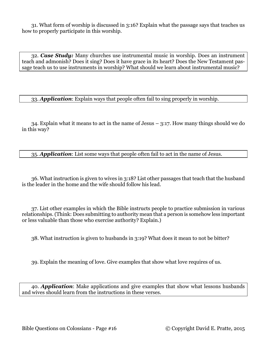31. What form of worship is discussed in 3:16? Explain what the passage says that teaches us how to properly participate in this worship.

32. *Case Study:* Many churches use instrumental music in worship. Does an instrument teach and admonish? Does it sing? Does it have grace in its heart? Does the New Testament passage teach us to use instruments in worship? What should we learn about instrumental music?

33. *Application*: Explain ways that people often fail to sing properly in worship.

34. Explain what it means to act in the name of Jesus – 3:17. How many things should we do in this way?

35. *Application*: List some ways that people often fail to act in the name of Jesus.

36. What instruction is given to wives in 3:18? List other passages that teach that the husband is the leader in the home and the wife should follow his lead.

37. List other examples in which the Bible instructs people to practice submission in various relationships. (Think: Does submitting to authority mean that a person is somehow less important or less valuable than those who exercise authority? Explain.)

38. What instruction is given to husbands in 3:19? What does it mean to not be bitter?

39. Explain the meaning of love. Give examples that show what love requires of us.

40. *Application*: Make applications and give examples that show what lessons husbands and wives should learn from the instructions in these verses.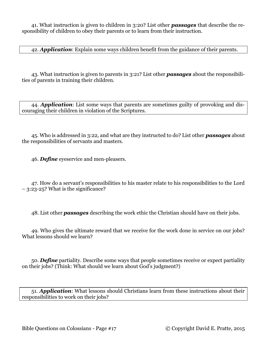41. What instruction is given to children in 3:20? List other *passages* that describe the responsibility of children to obey their parents or to learn from their instruction.

42. *Application*: Explain some ways children benefit from the guidance of their parents.

43. What instruction is given to parents in 3:21? List other *passages* about the responsibilities of parents in training their children.

44. *Application*: List some ways that parents are sometimes guilty of provoking and discouraging their children in violation of the Scriptures.

45. Who is addressed in 3:22, and what are they instructed to do? List other *passages* about the responsibilities of servants and masters.

46. *Define* eyeservice and men-pleasers.

47. How do a servant's responsibilities to his master relate to his responsibilities to the Lord – 3:23-25? What is the significance?

48. List other *passages* describing the work ethic the Christian should have on their jobs.

49. Who gives the ultimate reward that we receive for the work done in service on our jobs? What lessons should we learn?

50. *Define* partiality. Describe some ways that people sometimes receive or expect partiality on their jobs? (Think: What should we learn about God's judgment?)

51. *Application*: What lessons should Christians learn from these instructions about their responsibilities to work on their jobs?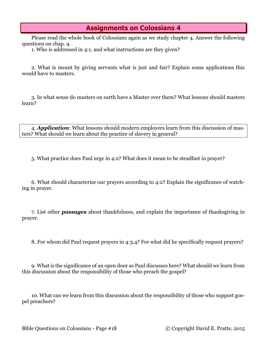# **Assignments on Colossians 4**

Please read the whole book of Colossians again as we study chapter 4. Answer the following questions on chap. 4.

1. Who is addressed in 4:1, and what instructions are they given?

2. What is meant by giving servants what is just and fair? Explain some applications this would have to masters.

3. In what sense do masters on earth have a Master over them? What lessons should masters learn?

4. *Application*: What lessons should modern employers learn from this discussion of masters? What should we learn about the practice of slavery in general?

5. What practice does Paul urge in 4:2? What does it mean to be steadfast in prayer?

6. What should characterize our prayers according to 4:2? Explain the significance of watching in prayer.

7. List other *passages* about thankfulness, and explain the importance of thanksgiving in prayer.

8. For whom did Paul request prayers in 4:3,4? For what did he specifically request prayers?

9. What is the significance of an open door as Paul discusses here? What should we learn from this discussion about the responsibility of those who preach the gospel?

10. What can we learn from this discussion about the responsibility of those who support gospel preachers?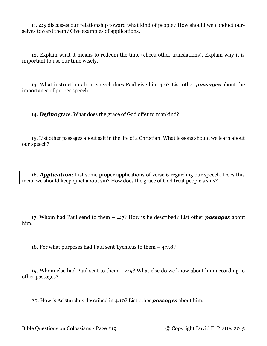11. 4:5 discusses our relationship toward what kind of people? How should we conduct ourselves toward them? Give examples of applications.

12. Explain what it means to redeem the time (check other translations). Explain why it is important to use our time wisely.

13. What instruction about speech does Paul give him 4:6? List other *passages* about the importance of proper speech.

14. *Define* grace. What does the grace of God offer to mankind?

15. List other passages about salt in the life of a Christian. What lessons should we learn about our speech?

16. *Application*: List some proper applications of verse 6 regarding our speech. Does this mean we should keep quiet about sin? How does the grace of God treat people's sins?

17. Whom had Paul send to them – 4:7? How is he described? List other *passages* about him.

18. For what purposes had Paul sent Tychicus to them – 4:7,8?

19. Whom else had Paul sent to them – 4:9? What else do we know about him according to other passages?

20. How is Aristarchus described in 4:10? List other *passages* about him.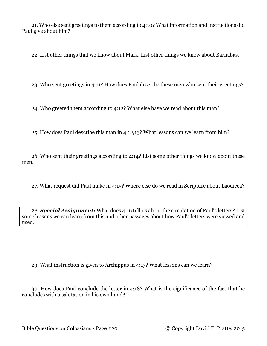21. Who else sent greetings to them according to 4:10? What information and instructions did Paul give about him?

22. List other things that we know about Mark. List other things we know about Barnabas.

23. Who sent greetings in 4:11? How does Paul describe these men who sent their greetings?

24. Who greeted them according to 4:12? What else have we read about this man?

25. How does Paul describe this man in 4:12,13? What lessons can we learn from him?

26. Who sent their greetings according to 4:14? List some other things we know about these men.

27. What request did Paul make in 4:15? Where else do we read in Scripture about Laodicea?

28. *Special Assignment:* What does 4:16 tell us about the circulation of Paul's letters? List some lessons we can learn from this and other passages about how Paul's letters were viewed and used.

29. What instruction is given to Archippus in 4:17? What lessons can we learn?

30. How does Paul conclude the letter in 4:18? What is the significance of the fact that he concludes with a salutation in his own hand?